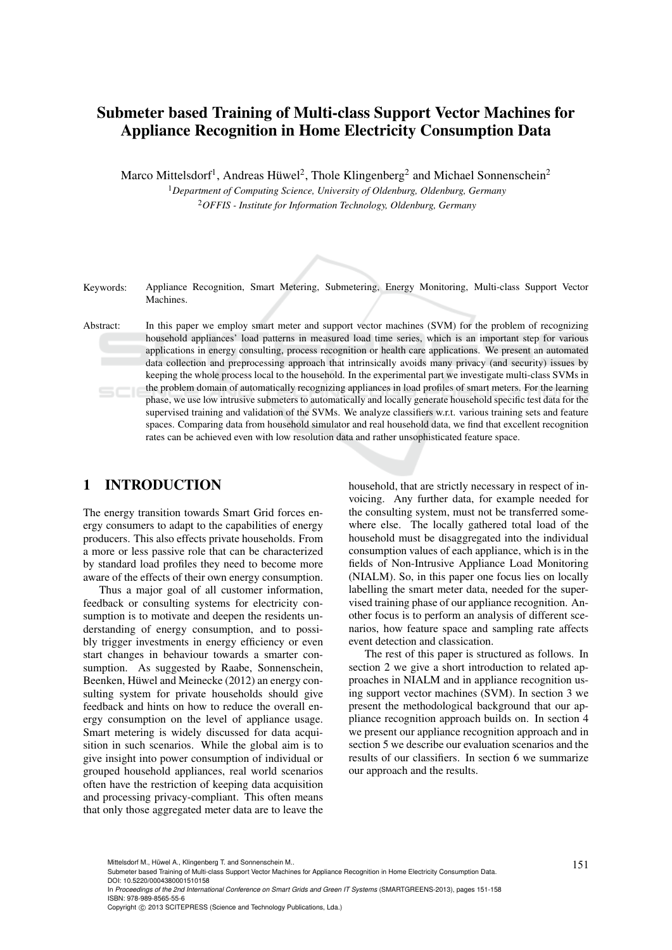# Submeter based Training of Multi-class Support Vector Machines for Appliance Recognition in Home Electricity Consumption Data

Marco Mittelsdorf<sup>1</sup>, Andreas Hüwel<sup>2</sup>, Thole Klingenberg<sup>2</sup> and Michael Sonnenschein<sup>2</sup>

<sup>1</sup>*Department of Computing Science, University of Oldenburg, Oldenburg, Germany* <sup>2</sup>*OFFIS - Institute for Information Technology, Oldenburg, Germany*

Keywords: Appliance Recognition, Smart Metering, Submetering, Energy Monitoring, Multi-class Support Vector **Machines** 

Abstract: In this paper we employ smart meter and support vector machines (SVM) for the problem of recognizing household appliances' load patterns in measured load time series, which is an important step for various applications in energy consulting, process recognition or health care applications. We present an automated data collection and preprocessing approach that intrinsically avoids many privacy (and security) issues by keeping the whole process local to the household. In the experimental part we investigate multi-class SVMs in the problem domain of automatically recognizing appliances in load profiles of smart meters. For the learning  $5C$ phase, we use low intrusive submeters to automatically and locally generate household specific test data for the supervised training and validation of the SVMs. We analyze classifiers w.r.t. various training sets and feature spaces. Comparing data from household simulator and real household data, we find that excellent recognition rates can be achieved even with low resolution data and rather unsophisticated feature space.

# 1 INTRODUCTION

The energy transition towards Smart Grid forces energy consumers to adapt to the capabilities of energy producers. This also effects private households. From a more or less passive role that can be characterized by standard load profiles they need to become more aware of the effects of their own energy consumption.

Thus a major goal of all customer information, feedback or consulting systems for electricity consumption is to motivate and deepen the residents understanding of energy consumption, and to possibly trigger investments in energy efficiency or even start changes in behaviour towards a smarter consumption. As suggested by Raabe, Sonnenschein, Beenken, Hüwel and Meinecke (2012) an energy consulting system for private households should give feedback and hints on how to reduce the overall energy consumption on the level of appliance usage. Smart metering is widely discussed for data acquisition in such scenarios. While the global aim is to give insight into power consumption of individual or grouped household appliances, real world scenarios often have the restriction of keeping data acquisition and processing privacy-compliant. This often means that only those aggregated meter data are to leave the

household, that are strictly necessary in respect of invoicing. Any further data, for example needed for the consulting system, must not be transferred somewhere else. The locally gathered total load of the household must be disaggregated into the individual consumption values of each appliance, which is in the fields of Non-Intrusive Appliance Load Monitoring (NIALM). So, in this paper one focus lies on locally labelling the smart meter data, needed for the supervised training phase of our appliance recognition. Another focus is to perform an analysis of different scenarios, how feature space and sampling rate affects event detection and classication.

The rest of this paper is structured as follows. In section 2 we give a short introduction to related approaches in NIALM and in appliance recognition using support vector machines (SVM). In section 3 we present the methodological background that our appliance recognition approach builds on. In section 4 we present our appliance recognition approach and in section 5 we describe our evaluation scenarios and the results of our classifiers. In section 6 we summarize our approach and the results.

Mittelsdorf M., Hüwel A., Klingenberg T. and Sonnenschein M..<br>Submeter based Training of Multi-class Support Vector Machines for Appliance Recognition in Home Electricity Consumption Data. DOI: 10.5220/0004380001510158

In *Proceedings of the 2nd International Conference on Smart Grids and Green IT Systems* (SMARTGREENS-2013), pages 151-158 ISBN: 978-989-8565-55-6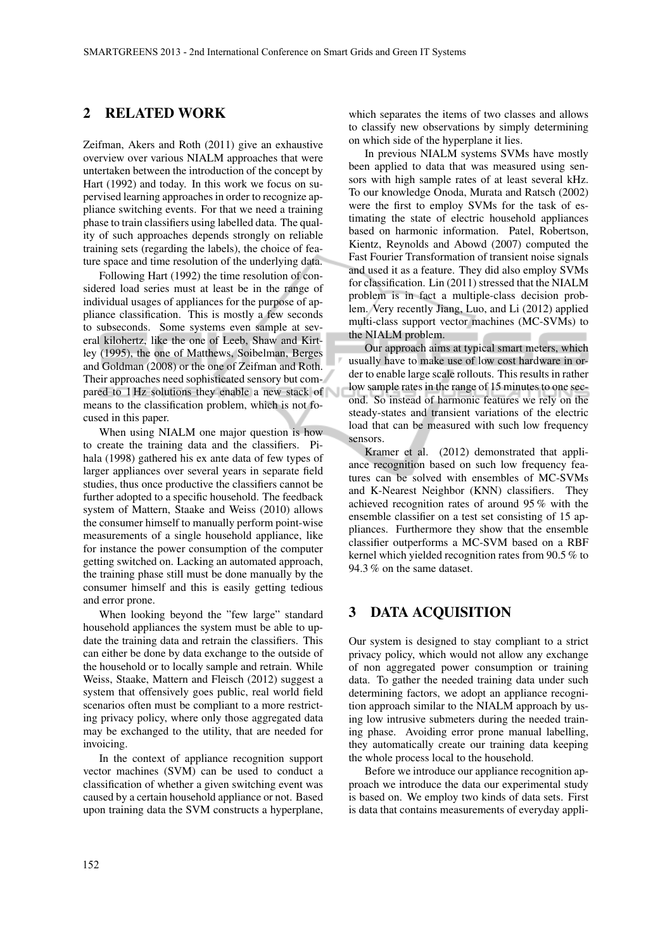#### 2 RELATED WORK

Zeifman, Akers and Roth (2011) give an exhaustive overview over various NIALM approaches that were untertaken between the introduction of the concept by Hart (1992) and today. In this work we focus on supervised learning approaches in order to recognize appliance switching events. For that we need a training phase to train classifiers using labelled data. The quality of such approaches depends strongly on reliable training sets (regarding the labels), the choice of feature space and time resolution of the underlying data.

Following Hart (1992) the time resolution of considered load series must at least be in the range of individual usages of appliances for the purpose of appliance classification. This is mostly a few seconds to subseconds. Some systems even sample at several kilohertz, like the one of Leeb, Shaw and Kirtley (1995), the one of Matthews, Soibelman, Berges and Goldman (2008) or the one of Zeifman and Roth. Their approaches need sophisticated sensory but compared to 1 Hz solutions they enable a new stack of means to the classification problem, which is not focused in this paper.

When using NIALM one major question is how to create the training data and the classifiers. Pihala (1998) gathered his ex ante data of few types of larger appliances over several years in separate field studies, thus once productive the classifiers cannot be further adopted to a specific household. The feedback system of Mattern, Staake and Weiss (2010) allows the consumer himself to manually perform point-wise measurements of a single household appliance, like for instance the power consumption of the computer getting switched on. Lacking an automated approach, the training phase still must be done manually by the consumer himself and this is easily getting tedious and error prone.

When looking beyond the "few large" standard household appliances the system must be able to update the training data and retrain the classifiers. This can either be done by data exchange to the outside of the household or to locally sample and retrain. While Weiss, Staake, Mattern and Fleisch (2012) suggest a system that offensively goes public, real world field scenarios often must be compliant to a more restricting privacy policy, where only those aggregated data may be exchanged to the utility, that are needed for invoicing.

In the context of appliance recognition support vector machines (SVM) can be used to conduct a classification of whether a given switching event was caused by a certain household appliance or not. Based upon training data the SVM constructs a hyperplane, which separates the items of two classes and allows to classify new observations by simply determining on which side of the hyperplane it lies.

In previous NIALM systems SVMs have mostly been applied to data that was measured using sensors with high sample rates of at least several kHz. To our knowledge Onoda, Murata and Ratsch (2002) were the first to employ SVMs for the task of estimating the state of electric household appliances based on harmonic information. Patel, Robertson, Kientz, Reynolds and Abowd (2007) computed the Fast Fourier Transformation of transient noise signals and used it as a feature. They did also employ SVMs for classification. Lin (2011) stressed that the NIALM problem is in fact a multiple-class decision problem. Very recently Jiang, Luo, and Li (2012) applied multi-class support vector machines (MC-SVMs) to the NIALM problem.

Our approach aims at typical smart meters, which usually have to make use of low cost hardware in order to enable large scale rollouts. This results in rather low sample rates in the range of 15 minutes to one second. So instead of harmonic features we rely on the steady-states and transient variations of the electric load that can be measured with such low frequency sensors.

Kramer et al. (2012) demonstrated that appliance recognition based on such low frequency features can be solved with ensembles of MC-SVMs and K-Nearest Neighbor (KNN) classifiers. They achieved recognition rates of around 95 % with the ensemble classifier on a test set consisting of 15 appliances. Furthermore they show that the ensemble classifier outperforms a MC-SVM based on a RBF kernel which yielded recognition rates from 90.5 % to 94.3 % on the same dataset.

#### 3 DATA ACQUISITION

Our system is designed to stay compliant to a strict privacy policy, which would not allow any exchange of non aggregated power consumption or training data. To gather the needed training data under such determining factors, we adopt an appliance recognition approach similar to the NIALM approach by using low intrusive submeters during the needed training phase. Avoiding error prone manual labelling, they automatically create our training data keeping the whole process local to the household.

Before we introduce our appliance recognition approach we introduce the data our experimental study is based on. We employ two kinds of data sets. First is data that contains measurements of everyday appli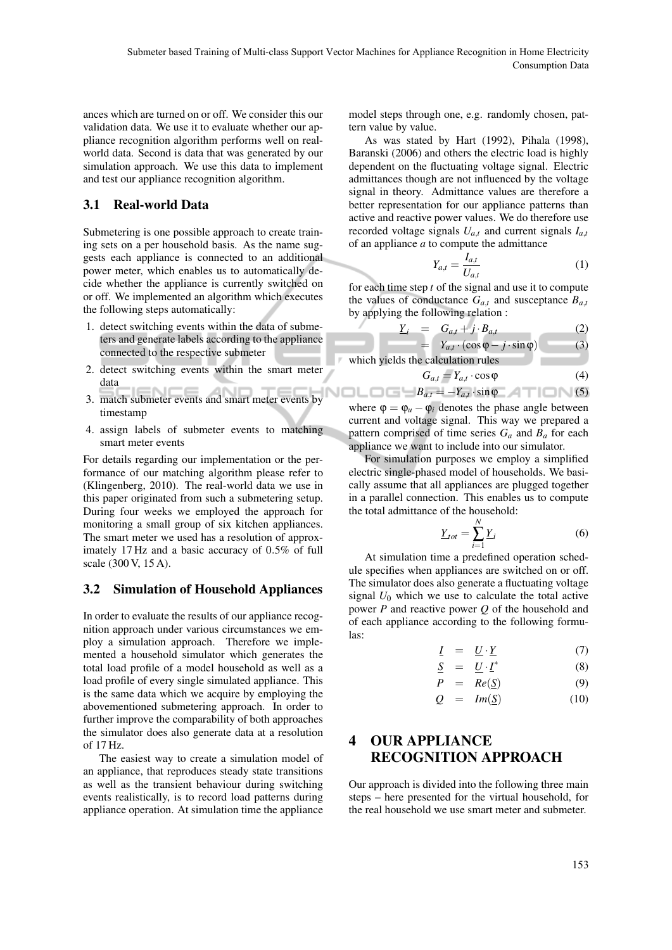ances which are turned on or off. We consider this our validation data. We use it to evaluate whether our appliance recognition algorithm performs well on realworld data. Second is data that was generated by our simulation approach. We use this data to implement and test our appliance recognition algorithm.

#### 3.1 Real-world Data

Submetering is one possible approach to create training sets on a per household basis. As the name suggests each appliance is connected to an additional power meter, which enables us to automatically decide whether the appliance is currently switched on or off. We implemented an algorithm which executes the following steps automatically:

- 1. detect switching events within the data of submeters and generate labels according to the appliance connected to the respective submeter
- 2. detect switching events within the smart meter data
- 3. match submeter events and smart meter events by timestamp
- 4. assign labels of submeter events to matching smart meter events

For details regarding our implementation or the performance of our matching algorithm please refer to (Klingenberg, 2010). The real-world data we use in this paper originated from such a submetering setup. During four weeks we employed the approach for monitoring a small group of six kitchen appliances. The smart meter we used has a resolution of approximately 17 Hz and a basic accuracy of 0.5% of full scale (300 V, 15 A).

# 3.2 Simulation of Household Appliances

In order to evaluate the results of our appliance recognition approach under various circumstances we employ a simulation approach. Therefore we implemented a household simulator which generates the total load profile of a model household as well as a load profile of every single simulated appliance. This is the same data which we acquire by employing the abovementioned submetering approach. In order to further improve the comparability of both approaches the simulator does also generate data at a resolution of 17 Hz.

The easiest way to create a simulation model of an appliance, that reproduces steady state transitions as well as the transient behaviour during switching events realistically, is to record load patterns during appliance operation. At simulation time the appliance

model steps through one, e.g. randomly chosen, pattern value by value.

As was stated by Hart (1992), Pihala (1998), Baranski (2006) and others the electric load is highly dependent on the fluctuating voltage signal. Electric admittances though are not influenced by the voltage signal in theory. Admittance values are therefore a better representation for our appliance patterns than active and reactive power values. We do therefore use recorded voltage signals  $U_{a,t}$  and current signals  $I_{a,t}$ of an appliance *a* to compute the admittance

$$
Y_{a,t} = \frac{I_{a,t}}{U_{a,t}}\tag{1}
$$

for each time step *t* of the signal and use it to compute the values of conductance  $G_{a,t}$  and susceptance  $B_{a,t}$ by applying the following relation :

$$
\underline{Y}_i = G_{a,t} + j \cdot B_{a,t} \tag{2}
$$
\n
$$
= Y_{a,t} \cdot (\cos \varphi - j \cdot \sin \varphi) \tag{3}
$$

which yields the calculation rules

$$
G_{a,t} = Y_{a,t} \cdot \cos \varphi \tag{4}
$$

 $B_{a,t} = -Y_{a,t} \cdot \sin \varphi$  (5) where  $\varphi = \varphi_u - \varphi_i$  denotes the phase angle between current and voltage signal. This way we prepared a pattern comprised of time series  $G_a$  and  $B_a$  for each appliance we want to include into our simulator.

For simulation purposes we employ a simplified electric single-phased model of households. We basically assume that all appliances are plugged together in a parallel connection. This enables us to compute the total admittance of the household:

$$
\underline{Y}_{tot} = \sum_{i=1}^{N} \underline{Y}_i
$$
\n(6)

At simulation time a predefined operation schedule specifies when appliances are switched on or off. The simulator does also generate a fluctuating voltage signal  $U_0$  which we use to calculate the total active power *P* and reactive power *Q* of the household and of each appliance according to the following formulas:

$$
\underline{I} = \underline{U} \cdot \underline{Y} \tag{7}
$$

$$
\underline{S} = \underline{U} \cdot \underline{I}^* \tag{8}
$$

$$
P = Re(\underline{S}) \tag{9}
$$

$$
Q = Im(\underline{S}) \qquad (10)
$$

# 4 OUR APPLIANCE RECOGNITION APPROACH

Our approach is divided into the following three main steps – here presented for the virtual household, for the real household we use smart meter and submeter.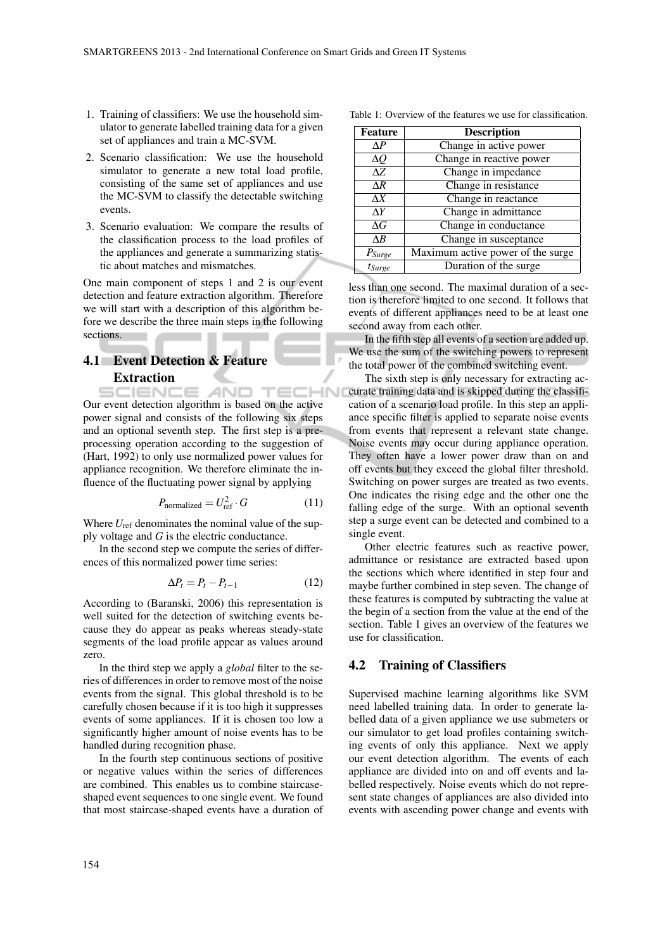- 1. Training of classifiers: We use the household simulator to generate labelled training data for a given set of appliances and train a MC-SVM.
- 2. Scenario classification: We use the household simulator to generate a new total load profile, consisting of the same set of appliances and use the MC-SVM to classify the detectable switching events.
- 3. Scenario evaluation: We compare the results of the classification process to the load profiles of the appliances and generate a summarizing statistic about matches and mismatches.

One main component of steps 1 and 2 is our event detection and feature extraction algorithm. Therefore we will start with a description of this algorithm before we describe the three main steps in the following sections.

#### 4.1 Event Detection & Feature Extraction

CIENC AND TECHN Our event detection algorithm is based on the active power signal and consists of the following six steps and an optional seventh step. The first step is a preprocessing operation according to the suggestion of (Hart, 1992) to only use normalized power values for appliance recognition. We therefore eliminate the influence of the fluctuating power signal by applying

$$
P_{\text{normalized}} = U_{\text{ref}}^2 \cdot G \tag{11}
$$

Where  $U_{\text{ref}}$  denominates the nominal value of the supply voltage and *G* is the electric conductance.

In the second step we compute the series of differences of this normalized power time series:

$$
\Delta P_t = P_t - P_{t-1} \tag{12}
$$

According to (Baranski, 2006) this representation is well suited for the detection of switching events because they do appear as peaks whereas steady-state segments of the load profile appear as values around zero.

In the third step we apply a *global* filter to the series of differences in order to remove most of the noise events from the signal. This global threshold is to be carefully chosen because if it is too high it suppresses events of some appliances. If it is chosen too low a significantly higher amount of noise events has to be handled during recognition phase.

In the fourth step continuous sections of positive or negative values within the series of differences are combined. This enables us to combine staircaseshaped event sequences to one single event. We found that most staircase-shaped events have a duration of

| Table 1: Overview of the features we use for classification. |
|--------------------------------------------------------------|
|--------------------------------------------------------------|

| <b>Feature</b>           | <b>Description</b>                |
|--------------------------|-----------------------------------|
| ΛP                       | Change in active power            |
| $\Delta Q$               | Change in reactive power          |
| $\Delta Z$               | Change in impedance               |
| $\Delta R$               | Change in resistance              |
| $\Delta X$               | Change in reactance               |
| $\Delta Y$               | Change in admittance              |
| $\Delta G$               | Change in conductance             |
| $\triangle$ <sup>R</sup> | Change in susceptance             |
| $P_{\text{Surge}}$       | Maximum active power of the surge |
| $t_{Surge}$              | Duration of the surge             |

less than one second. The maximal duration of a section is therefore limited to one second. It follows that events of different appliances need to be at least one second away from each other.

In the fifth step all events of a section are added up. We use the sum of the switching powers to represent the total power of the combined switching event.

The sixth step is only necessary for extracting accurate training data and is skipped during the classification of a scenario load profile. In this step an appliance specific filter is applied to separate noise events from events that represent a relevant state change. Noise events may occur during appliance operation. They often have a lower power draw than on and off events but they exceed the global filter threshold. Switching on power surges are treated as two events. One indicates the rising edge and the other one the falling edge of the surge. With an optional seventh step a surge event can be detected and combined to a single event.

Other electric features such as reactive power, admittance or resistance are extracted based upon the sections which where identified in step four and maybe further combined in step seven. The change of these features is computed by subtracting the value at the begin of a section from the value at the end of the section. Table 1 gives an overview of the features we use for classification.

#### 4.2 Training of Classifiers

Supervised machine learning algorithms like SVM need labelled training data. In order to generate labelled data of a given appliance we use submeters or our simulator to get load profiles containing switching events of only this appliance. Next we apply our event detection algorithm. The events of each appliance are divided into on and off events and labelled respectively. Noise events which do not represent state changes of appliances are also divided into events with ascending power change and events with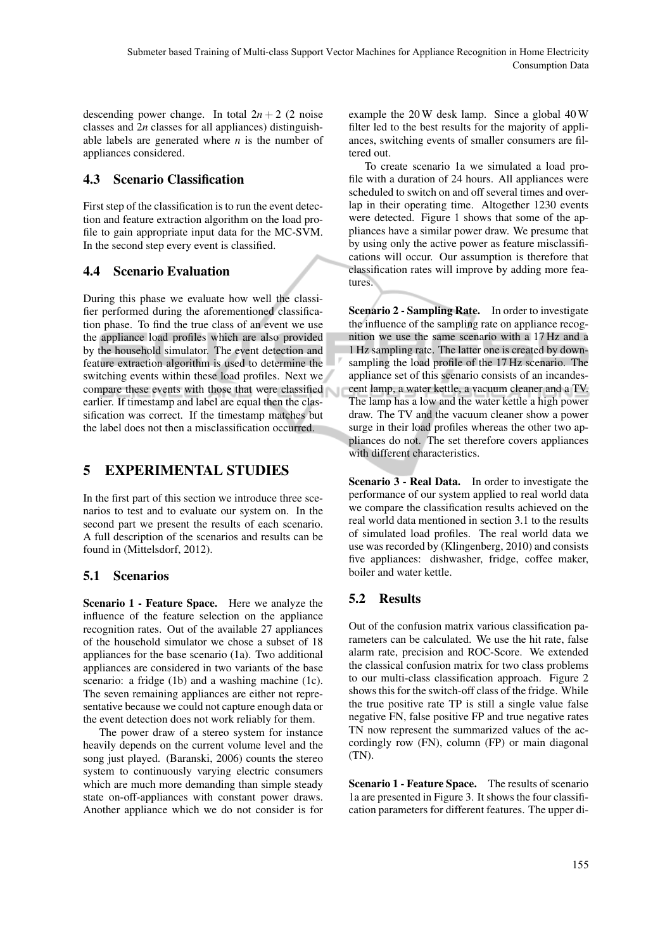descending power change. In total  $2n + 2$  (2 noise classes and 2*n* classes for all appliances) distinguishable labels are generated where  $n$  is the number of appliances considered.

# 4.3 Scenario Classification

First step of the classification is to run the event detection and feature extraction algorithm on the load profile to gain appropriate input data for the MC-SVM. In the second step every event is classified.

# 4.4 Scenario Evaluation

During this phase we evaluate how well the classifier performed during the aforementioned classification phase. To find the true class of an event we use the appliance load profiles which are also provided by the household simulator. The event detection and feature extraction algorithm is used to determine the switching events within these load profiles. Next we compare these events with those that were classified earlier. If timestamp and label are equal then the classification was correct. If the timestamp matches but the label does not then a misclassification occurred.

# 5 EXPERIMENTAL STUDIES

In the first part of this section we introduce three scenarios to test and to evaluate our system on. In the second part we present the results of each scenario. A full description of the scenarios and results can be found in (Mittelsdorf, 2012).

# 5.1 Scenarios

Scenario 1 - Feature Space. Here we analyze the influence of the feature selection on the appliance recognition rates. Out of the available 27 appliances of the household simulator we chose a subset of 18 appliances for the base scenario (1a). Two additional appliances are considered in two variants of the base scenario: a fridge (1b) and a washing machine (1c). The seven remaining appliances are either not representative because we could not capture enough data or the event detection does not work reliably for them.

The power draw of a stereo system for instance heavily depends on the current volume level and the song just played. (Baranski, 2006) counts the stereo system to continuously varying electric consumers which are much more demanding than simple steady state on-off-appliances with constant power draws. Another appliance which we do not consider is for example the 20 W desk lamp. Since a global 40 W filter led to the best results for the majority of appliances, switching events of smaller consumers are filtered out.

To create scenario 1a we simulated a load profile with a duration of 24 hours. All appliances were scheduled to switch on and off several times and overlap in their operating time. Altogether 1230 events were detected. Figure 1 shows that some of the appliances have a similar power draw. We presume that by using only the active power as feature misclassifications will occur. Our assumption is therefore that classification rates will improve by adding more features.

Scenario 2 - Sampling Rate. In order to investigate the influence of the sampling rate on appliance recognition we use the same scenario with a 17 Hz and a 1 Hz sampling rate. The latter one is created by downsampling the load profile of the 17 Hz scenario. The appliance set of this scenario consists of an incandescent lamp, a water kettle, a vacuum cleaner and a TV. The lamp has a low and the water kettle a high power draw. The TV and the vacuum cleaner show a power surge in their load profiles whereas the other two appliances do not. The set therefore covers appliances with different characteristics.

Scenario 3 - Real Data. In order to investigate the performance of our system applied to real world data we compare the classification results achieved on the real world data mentioned in section 3.1 to the results of simulated load profiles. The real world data we use was recorded by (Klingenberg, 2010) and consists five appliances: dishwasher, fridge, coffee maker, boiler and water kettle.

# 5.2 Results

Out of the confusion matrix various classification parameters can be calculated. We use the hit rate, false alarm rate, precision and ROC-Score. We extended the classical confusion matrix for two class problems to our multi-class classification approach. Figure 2 shows this for the switch-off class of the fridge. While the true positive rate TP is still a single value false negative FN, false positive FP and true negative rates TN now represent the summarized values of the accordingly row (FN), column (FP) or main diagonal (TN).

Scenario 1 - Feature Space. The results of scenario 1a are presented in Figure 3. It shows the four classification parameters for different features. The upper di-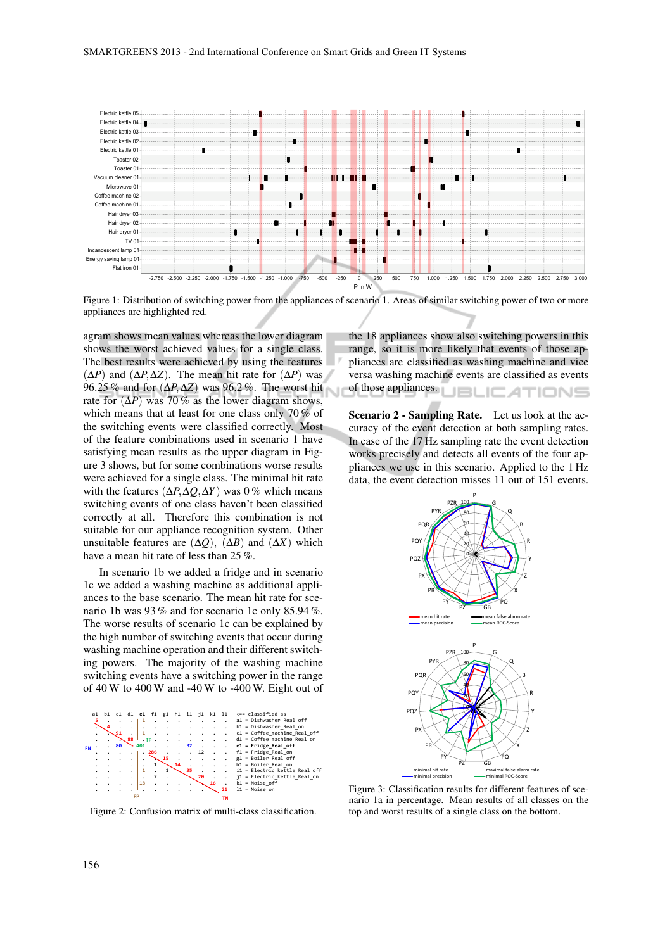

Figure 1: Distribution of switching power from the appliances of scenario 1. Areas of similar switching power of two or more appliances are highlighted red.

agram shows mean values whereas the lower diagram shows the worst achieved values for a single class. The best results were achieved by using the features  $(\Delta P)$  and  $(\Delta P, \Delta Z)$ . The mean hit rate for  $(\Delta P)$  was 96.25 % and for (∆*P*,∆*Z*) was 96.2 %. The worst hit rate for  $(\Delta P)$  was 70% as the lower diagram shows, which means that at least for one class only 70 % of the switching events were classified correctly. Most of the feature combinations used in scenario 1 have satisfying mean results as the upper diagram in Figure 3 shows, but for some combinations worse results were achieved for a single class. The minimal hit rate with the features (∆*P*,∆*Q*,∆*Y*) was 0 % which means switching events of one class haven't been classified correctly at all. Therefore this combination is not suitable for our appliance recognition system. Other unsuitable features are  $(\Delta Q)$ ,  $(\Delta B)$  and  $(\Delta X)$  which have a mean hit rate of less than  $25\%$ .

In scenario 1b we added a fridge and in scenario 1c we added a washing machine as additional appliances to the base scenario. The mean hit rate for scenario 1b was 93% and for scenario 1c only 85.94%. The worse results of scenario 1c can be explained by the high number of switching events that occur during washing machine operation and their different switching powers. The majority of the washing machine switching events have a switching power in the range of  $40 \,\mathrm{W}$  to  $400 \,\mathrm{W}$  and  $-40 \,\mathrm{W}$  to  $-400 \,\mathrm{W}$ . Eight out of



Figure 2: Confusion matrix of multi-class classification.

the 18 appliances show also switching powers in this range, so it is more likely that events of those appliances are classified as washing machine and vice versa washing machine events are classified as events of those appliances. **UBLICATIONS** 

Scenario 2 - Sampling Rate. Let us look at the accuracy of the event detection at both sampling rates. In case of the 17 Hz sampling rate the event detection works precisely and detects all events of the four appliances we use in this scenario. Applied to the 1 Hz data, the event detection misses 11 out of 151 events.



Figure 3: Classification results for different features of scenario 1a in percentage. Mean results of all classes on the top and worst results of a single class on the bottom.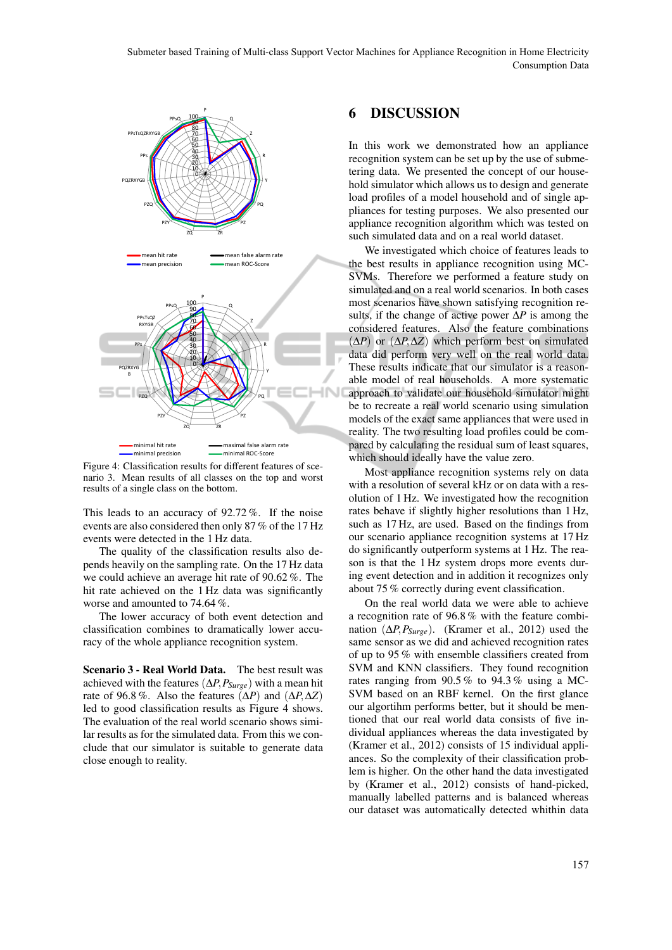

Figure 4: Classification results for different features of scenario 3. Mean results of all classes on the top and worst results of a single class on the bottom.

This leads to an accuracy of 92.72 %. If the noise events are also considered then only 87 % of the 17 Hz events were detected in the 1 Hz data.

The quality of the classification results also depends heavily on the sampling rate. On the 17 Hz data we could achieve an average hit rate of 90.62 %. The hit rate achieved on the 1 Hz data was significantly worse and amounted to 74.64 %.

The lower accuracy of both event detection and classification combines to dramatically lower accuracy of the whole appliance recognition system.

Scenario 3 - Real World Data. The best result was achieved with the features (∆*P*,*PSurge*) with a mean hit rate of 96.8 %. Also the features  $(\Delta P)$  and  $(\Delta P, \Delta Z)$ led to good classification results as Figure 4 shows. The evaluation of the real world scenario shows similar results as for the simulated data. From this we conclude that our simulator is suitable to generate data close enough to reality.

# 6 DISCUSSION

In this work we demonstrated how an appliance recognition system can be set up by the use of submetering data. We presented the concept of our household simulator which allows us to design and generate load profiles of a model household and of single appliances for testing purposes. We also presented our appliance recognition algorithm which was tested on such simulated data and on a real world dataset.

We investigated which choice of features leads to the best results in appliance recognition using MC-SVMs. Therefore we performed a feature study on simulated and on a real world scenarios. In both cases most scenarios have shown satisfying recognition results, if the change of active power ∆*P* is among the considered features. Also the feature combinations (∆*P*) or (∆*P*,∆*Z*) which perform best on simulated data did perform very well on the real world data. These results indicate that our simulator is a reasonable model of real households. A more systematic approach to validate our household simulator might be to recreate a real world scenario using simulation models of the exact same appliances that were used in reality. The two resulting load profiles could be compared by calculating the residual sum of least squares, which should ideally have the value zero.

Most appliance recognition systems rely on data with a resolution of several kHz or on data with a resolution of 1 Hz. We investigated how the recognition rates behave if slightly higher resolutions than 1 Hz, such as 17 Hz, are used. Based on the findings from our scenario appliance recognition systems at 17 Hz do significantly outperform systems at 1 Hz. The reason is that the 1 Hz system drops more events during event detection and in addition it recognizes only about 75 % correctly during event classification.

On the real world data we were able to achieve a recognition rate of 96.8 % with the feature combination  $(\Delta P, P_{\text{Surge}})$ . (Kramer et al., 2012) used the same sensor as we did and achieved recognition rates of up to 95 % with ensemble classifiers created from SVM and KNN classifiers. They found recognition rates ranging from 90.5 % to 94.3 % using a MC-SVM based on an RBF kernel. On the first glance our algortihm performs better, but it should be mentioned that our real world data consists of five individual appliances whereas the data investigated by (Kramer et al., 2012) consists of 15 individual appliances. So the complexity of their classification problem is higher. On the other hand the data investigated by (Kramer et al., 2012) consists of hand-picked, manually labelled patterns and is balanced whereas our dataset was automatically detected whithin data